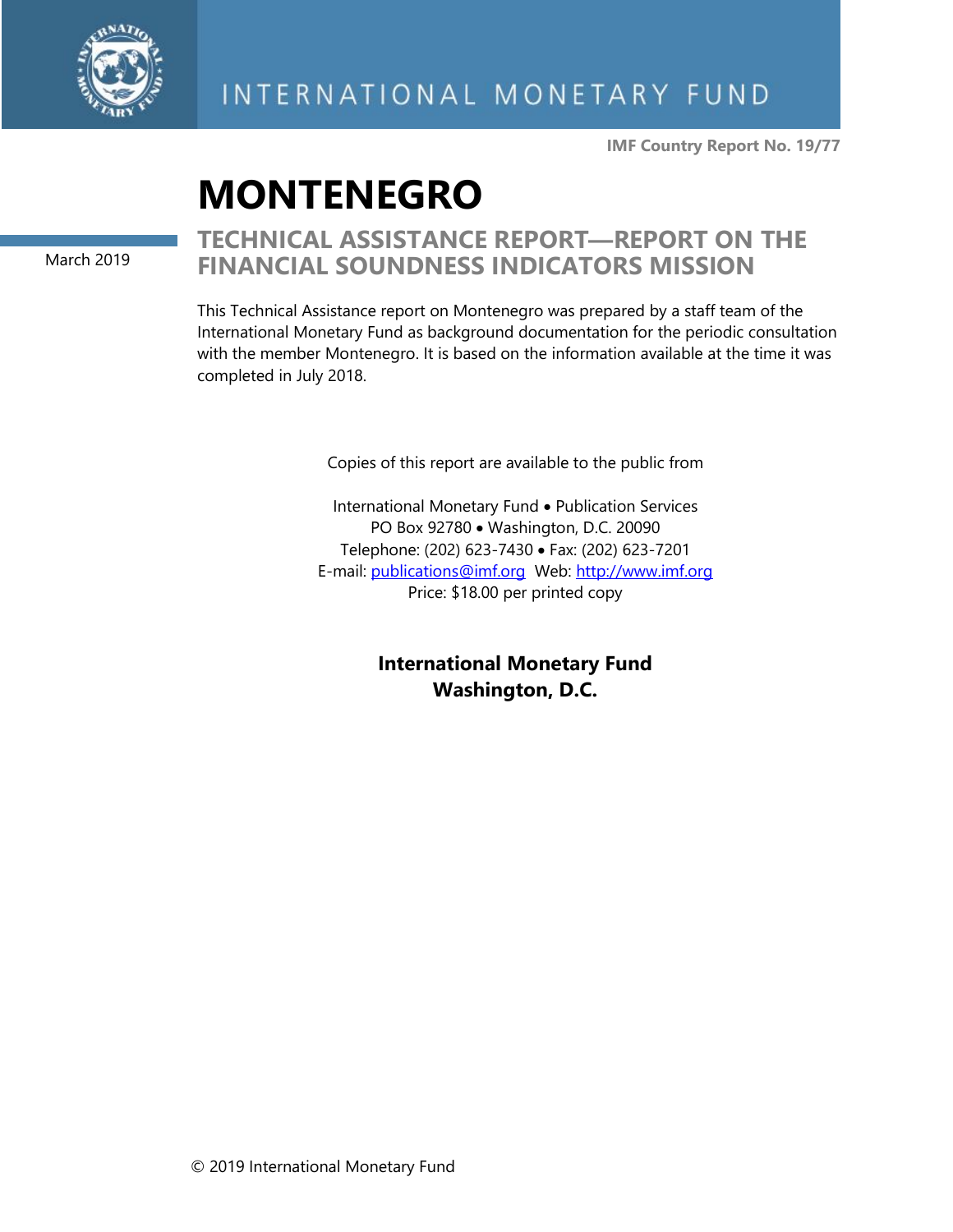

**IMF Country Report No. 19/77**

# **MONTENEGRO**

March 2019

## **TECHNICAL ASSISTANCE REPORT—REPORT ON THE FINANCIAL SOUNDNESS INDICATORS MISSION**

This Technical Assistance report on Montenegro was prepared by a staff team of the International Monetary Fund as background documentation for the periodic consultation with the member Montenegro. It is based on the information available at the time it was completed in July 2018.

Copies of this report are available to the public from

International Monetary Fund • Publication Services PO Box 92780 • Washington, D.C. 20090 Telephone: (202) 623-7430 • Fax: (202) 623-7201 E-mail: [publications@imf.org](mailto:publications@imf.org) Web: [http://www.imf.org](http://0-www-imf-org.library.svsu.edu/) Price: \$18.00 per printed copy

> **International Monetary Fund Washington, D.C.**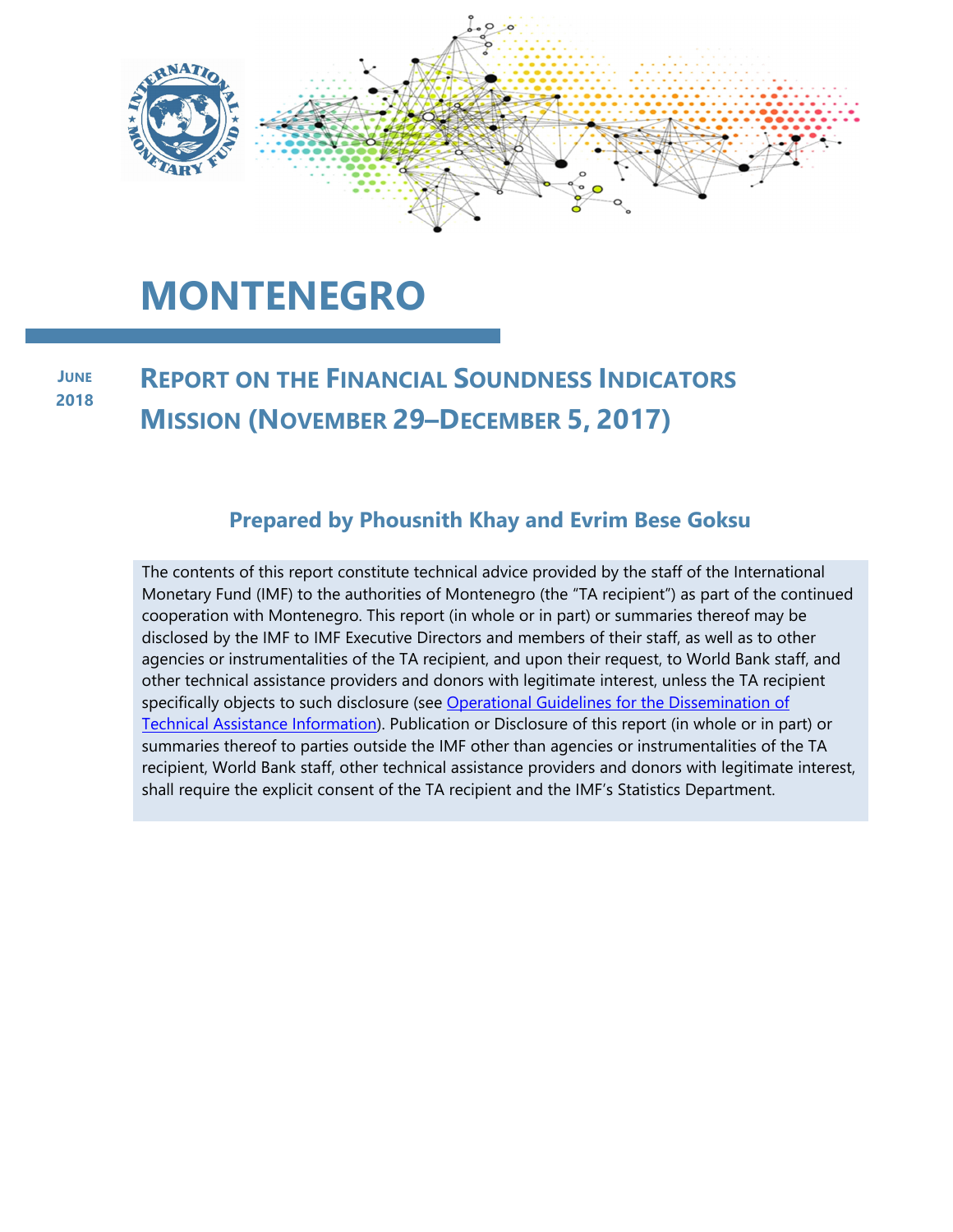

# **MONTENEGRO**

#### **REPORT ON THE FINANCIAL SOUNDNESS INDICATORS MISSION (NOVEMBER 29–DECEMBER 5, 2017) JUNE 2018**

## **Prepared by Phousnith Khay and Evrim Bese Goksu**

The contents of this report constitute technical advice provided by the staff of the International Monetary Fund (IMF) to the authorities of Montenegro (the "TA recipient") as part of the continued cooperation with Montenegro. This report (in whole or in part) or summaries thereof may be disclosed by the IMF to IMF Executive Directors and members of their staff, as well as to other agencies or instrumentalities of the TA recipient, and upon their request, to World Bank staff, and other technical assistance providers and donors with legitimate interest, unless the TA recipient specifically objects to such disclosure (see Operational Guidelines for the Dissemination of Technical Assistance Information). Publication or Disclosure of this report (in whole or in part) or summaries thereof to parties outside the IMF other than agencies or instrumentalities of the TA recipient, World Bank staff, other technical assistance providers and donors with legitimate interest, shall require the explicit consent of the TA recipient and the IMF's Statistics Department.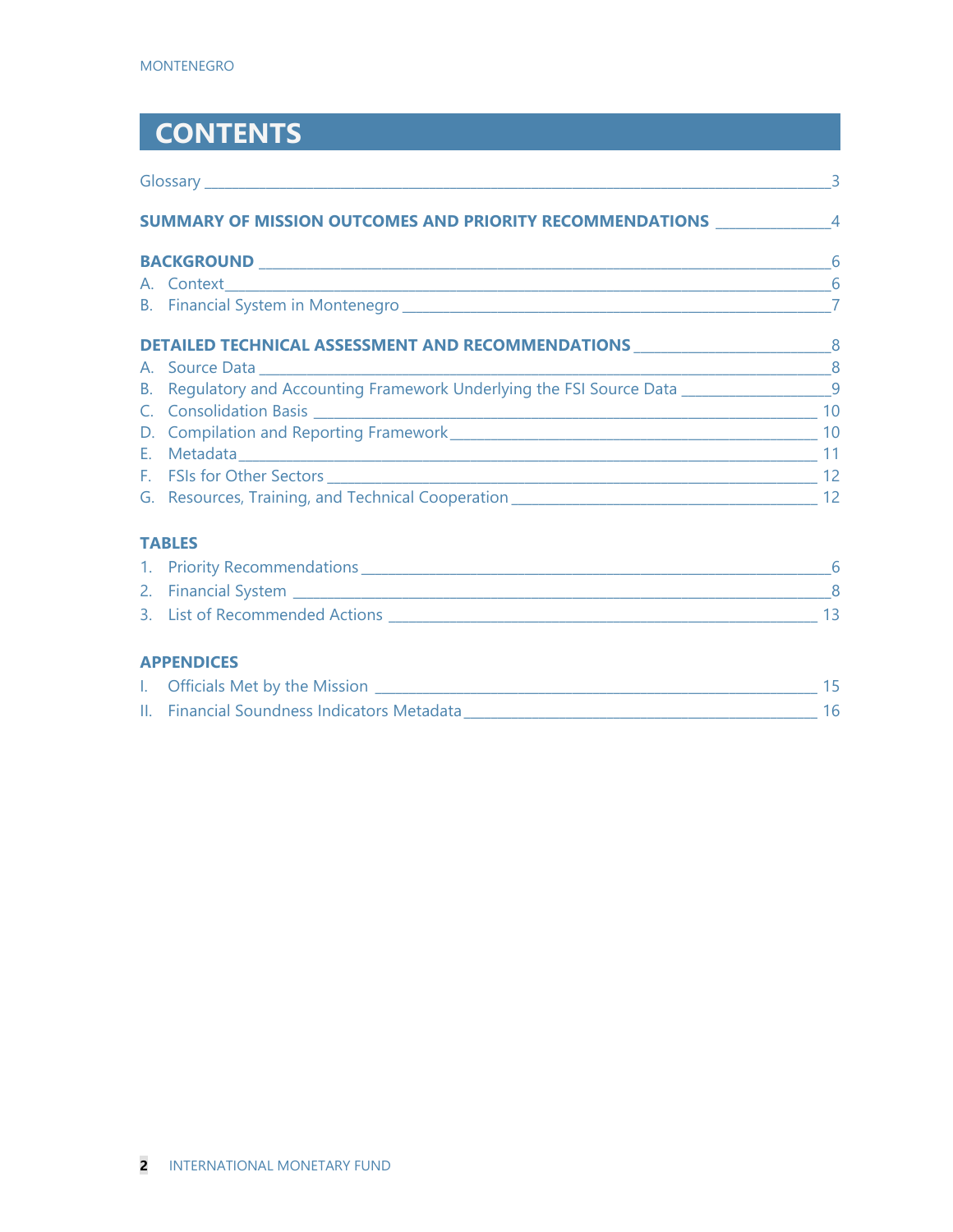## **CONTENTS**

|  | SUMMARY OF MISSION OUTCOMES AND PRIORITY RECOMMENDATIONS 44 AND 2001 12                     |    |  |
|--|---------------------------------------------------------------------------------------------|----|--|
|  |                                                                                             |    |  |
|  |                                                                                             |    |  |
|  |                                                                                             |    |  |
|  | DETAILED TECHNICAL ASSESSMENT AND RECOMMENDATIONS _______________________________           |    |  |
|  |                                                                                             |    |  |
|  | B. Regulatory and Accounting Framework Underlying the FSI Source Data ____________________9 |    |  |
|  |                                                                                             |    |  |
|  |                                                                                             |    |  |
|  |                                                                                             |    |  |
|  |                                                                                             |    |  |
|  |                                                                                             |    |  |
|  | <b>TABLES</b>                                                                               |    |  |
|  |                                                                                             |    |  |
|  |                                                                                             |    |  |
|  |                                                                                             | 13 |  |

### **APPENDICES**

| Officials Met by the Mission                |  |
|---------------------------------------------|--|
| II. Financial Soundness Indicators Metadata |  |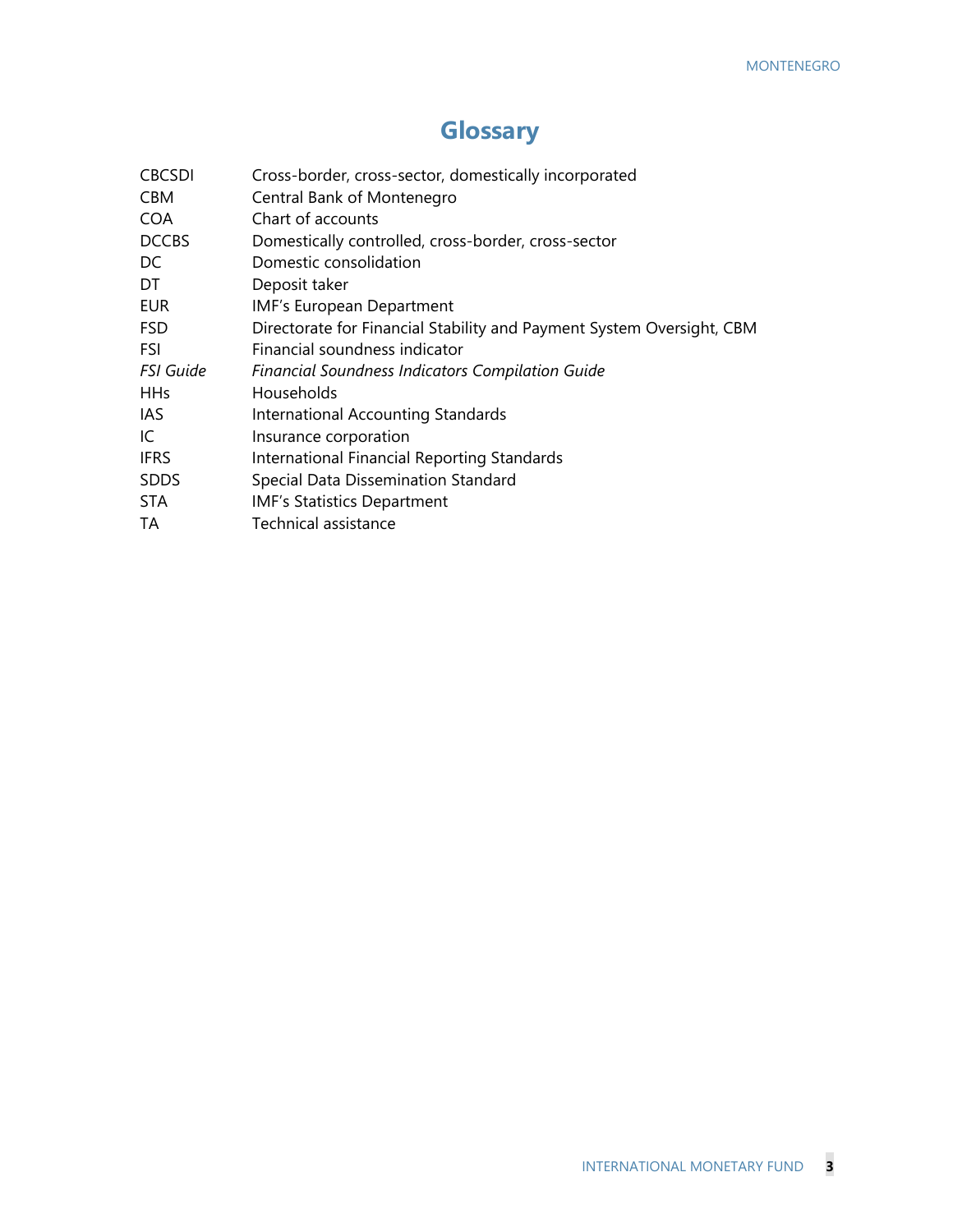## **Glossary**

| <b>CBCSDI</b><br><b>CBM</b> | Cross-border, cross-sector, domestically incorporated<br>Central Bank of Montenegro |
|-----------------------------|-------------------------------------------------------------------------------------|
| <b>COA</b>                  | Chart of accounts                                                                   |
| <b>DCCBS</b>                | Domestically controlled, cross-border, cross-sector                                 |
| DC                          | Domestic consolidation                                                              |
| DT                          | Deposit taker                                                                       |
| <b>EUR</b>                  | IMF's European Department                                                           |
| <b>FSD</b>                  | Directorate for Financial Stability and Payment System Oversight, CBM               |
| FSI                         | Financial soundness indicator                                                       |
| <b>FSI Guide</b>            | Financial Soundness Indicators Compilation Guide                                    |
| <b>HHs</b>                  | Households                                                                          |
| IAS                         | International Accounting Standards                                                  |
| IC                          | Insurance corporation                                                               |
| <b>IFRS</b>                 | International Financial Reporting Standards                                         |
| <b>SDDS</b>                 | Special Data Dissemination Standard                                                 |
| STA                         | <b>IMF's Statistics Department</b>                                                  |
| TA                          | <b>Technical assistance</b>                                                         |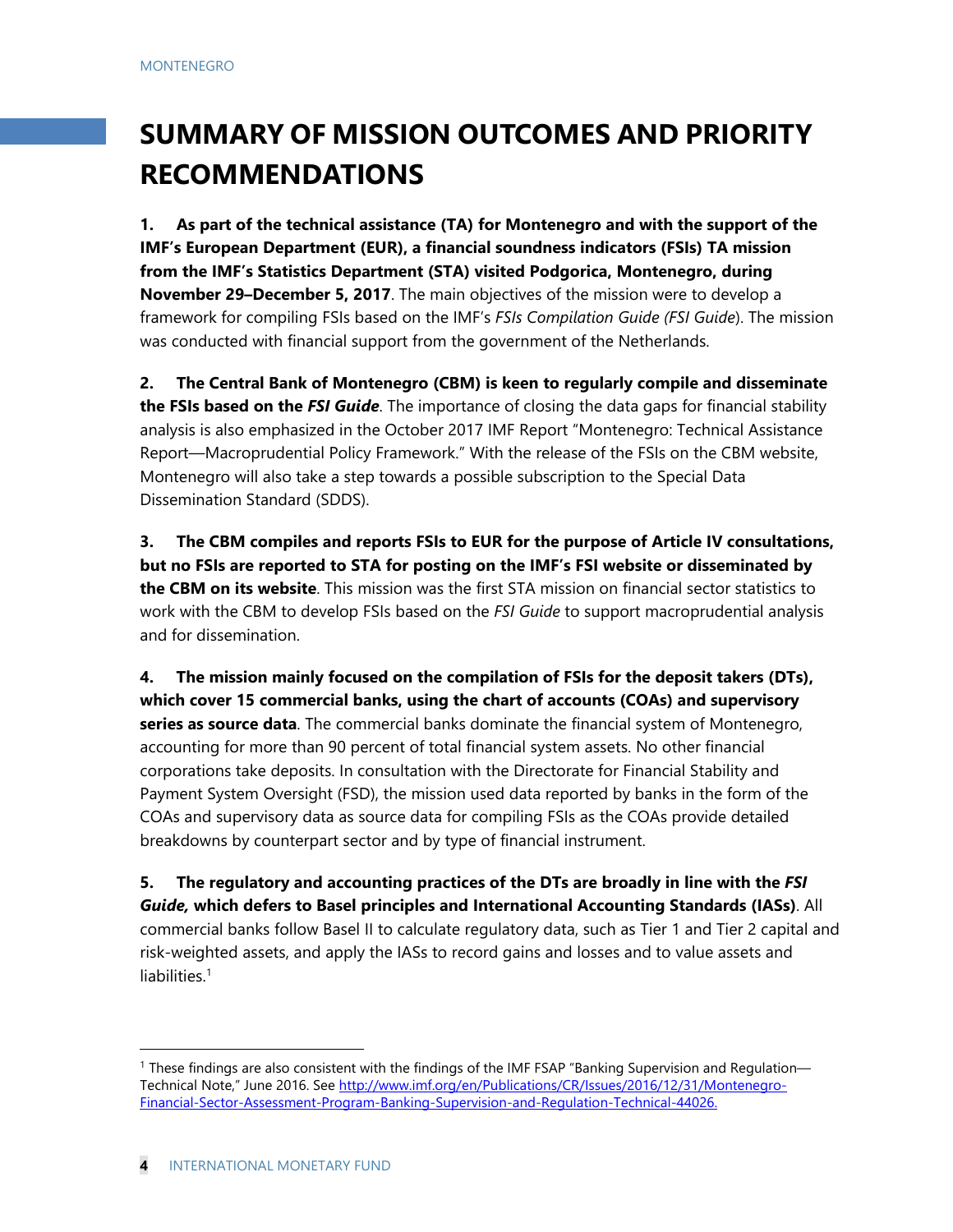## **SUMMARY OF MISSION OUTCOMES AND PRIORITY RECOMMENDATIONS**

**1. As part of the technical assistance (TA) for Montenegro and with the support of the IMF's European Department (EUR), a financial soundness indicators (FSIs) TA mission from the IMF's Statistics Department (STA) visited Podgorica, Montenegro, during November 29–December 5, 2017**. The main objectives of the mission were to develop a framework for compiling FSIs based on the IMF's *FSIs Compilation Guide (FSI Guide*). The mission was conducted with financial support from the government of the Netherlands.

**2. The Central Bank of Montenegro (CBM) is keen to regularly compile and disseminate the FSIs based on the** *FSI Guide*. The importance of closing the data gaps for financial stability analysis is also emphasized in the October 2017 IMF Report "Montenegro: Technical Assistance Report—Macroprudential Policy Framework." With the release of the FSIs on the CBM website, Montenegro will also take a step towards a possible subscription to the Special Data Dissemination Standard (SDDS).

**3. The CBM compiles and reports FSIs to EUR for the purpose of Article IV consultations, but no FSIs are reported to STA for posting on the IMF's FSI website or disseminated by the CBM on its website**. This mission was the first STA mission on financial sector statistics to work with the CBM to develop FSIs based on the *FSI Guide* to support macroprudential analysis and for dissemination.

**4. The mission mainly focused on the compilation of FSIs for the deposit takers (DTs), which cover 15 commercial banks, using the chart of accounts (COAs) and supervisory series as source data**. The commercial banks dominate the financial system of Montenegro, accounting for more than 90 percent of total financial system assets. No other financial corporations take deposits. In consultation with the Directorate for Financial Stability and Payment System Oversight (FSD), the mission used data reported by banks in the form of the COAs and supervisory data as source data for compiling FSIs as the COAs provide detailed breakdowns by counterpart sector and by type of financial instrument.

**5. The regulatory and accounting practices of the DTs are broadly in line with the** *FSI Guide,* **which defers to Basel principles and International Accounting Standards (IASs)**. All commercial banks follow Basel II to calculate regulatory data, such as Tier 1 and Tier 2 capital and risk-weighted assets, and apply the IASs to record gains and losses and to value assets and liabilities<sup>1</sup>

<sup>1</sup> These findings are also consistent with the findings of the IMF FSAP "Banking Supervision and Regulation— Technical Note," June 2016. See http://www.imf.org/en/Publications/CR/Issues/2016/12/31/Montenegro-Financial-Sector-Assessment-Program-Banking-Supervision-and-Regulation-Technical-44026.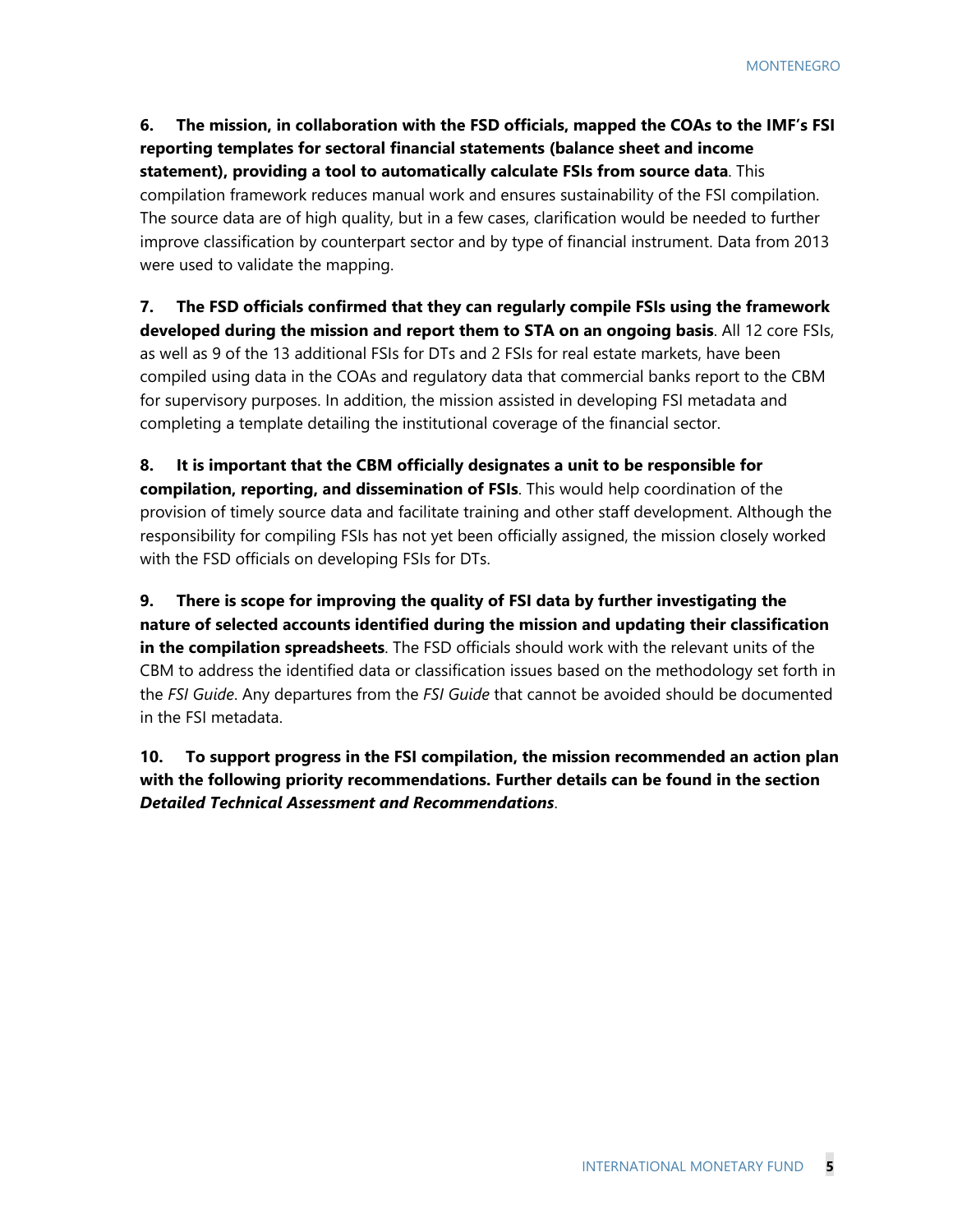**6. The mission, in collaboration with the FSD officials, mapped the COAs to the IMF's FSI reporting templates for sectoral financial statements (balance sheet and income statement), providing a tool to automatically calculate FSIs from source data**. This compilation framework reduces manual work and ensures sustainability of the FSI compilation. The source data are of high quality, but in a few cases, clarification would be needed to further improve classification by counterpart sector and by type of financial instrument. Data from 2013 were used to validate the mapping.

**7. The FSD officials confirmed that they can regularly compile FSIs using the framework developed during the mission and report them to STA on an ongoing basis**. All 12 core FSIs, as well as 9 of the 13 additional FSIs for DTs and 2 FSIs for real estate markets, have been compiled using data in the COAs and regulatory data that commercial banks report to the CBM for supervisory purposes. In addition, the mission assisted in developing FSI metadata and completing a template detailing the institutional coverage of the financial sector.

**8. It is important that the CBM officially designates a unit to be responsible for compilation, reporting, and dissemination of FSIs**. This would help coordination of the provision of timely source data and facilitate training and other staff development. Although the responsibility for compiling FSIs has not yet been officially assigned, the mission closely worked with the FSD officials on developing FSIs for DTs.

**9. There is scope for improving the quality of FSI data by further investigating the nature of selected accounts identified during the mission and updating their classification in the compilation spreadsheets**. The FSD officials should work with the relevant units of the CBM to address the identified data or classification issues based on the methodology set forth in the *FSI Guide*. Any departures from the *FSI Guide* that cannot be avoided should be documented in the FSI metadata.

**10. To support progress in the FSI compilation, the mission recommended an action plan with the following priority recommendations. Further details can be found in the section**  *Detailed Technical Assessment and Recommendations*.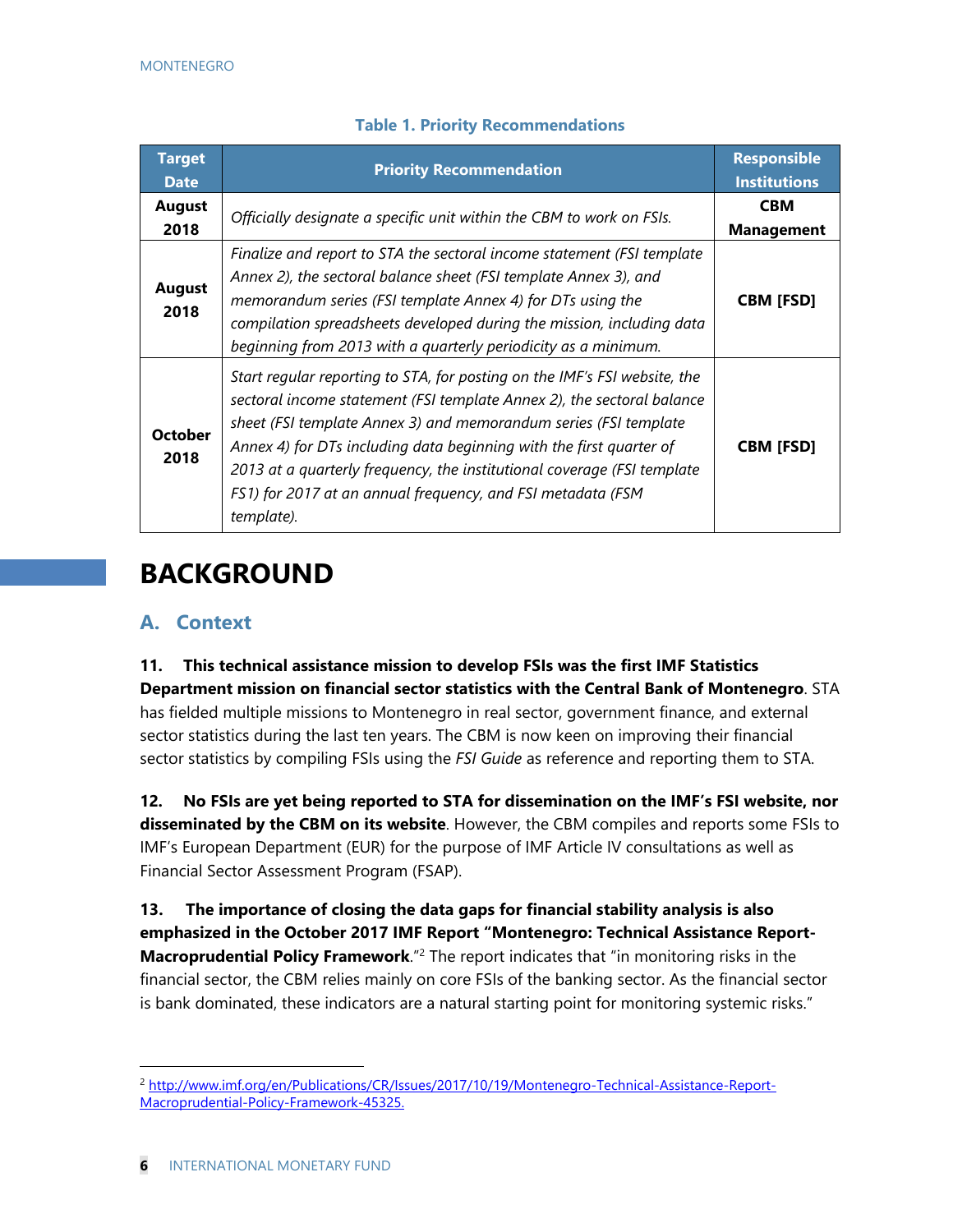| <b>Target</b><br><b>Date</b> | <b>Priority Recommendation</b>                                                                                                                                                                                                                                                                                                                                                                                                                         | <b>Responsible</b><br><b>Institutions</b> |
|------------------------------|--------------------------------------------------------------------------------------------------------------------------------------------------------------------------------------------------------------------------------------------------------------------------------------------------------------------------------------------------------------------------------------------------------------------------------------------------------|-------------------------------------------|
| <b>August</b><br>2018        | Officially designate a specific unit within the CBM to work on FSIs.                                                                                                                                                                                                                                                                                                                                                                                   | <b>CBM</b><br><b>Management</b>           |
| <b>August</b><br>2018        | Finalize and report to STA the sectoral income statement (FSI template<br>Annex 2), the sectoral balance sheet (FSI template Annex 3), and<br>memorandum series (FSI template Annex 4) for DTs using the<br>compilation spreadsheets developed during the mission, including data<br>beginning from 2013 with a quarterly periodicity as a minimum.                                                                                                    | <b>CBM [FSD]</b>                          |
| <b>October</b><br>2018       | Start regular reporting to STA, for posting on the IMF's FSI website, the<br>sectoral income statement (FSI template Annex 2), the sectoral balance<br>sheet (FSI template Annex 3) and memorandum series (FSI template<br>Annex 4) for DTs including data beginning with the first quarter of<br>2013 at a quarterly frequency, the institutional coverage (FSI template<br>FS1) for 2017 at an annual frequency, and FSI metadata (FSM<br>template). | <b>CBM [FSD]</b>                          |

### **Table 1. Priority Recommendations**

## **BACKGROUND**

## **A. Context**

**11. This technical assistance mission to develop FSIs was the first IMF Statistics Department mission on financial sector statistics with the Central Bank of Montenegro**. STA has fielded multiple missions to Montenegro in real sector, government finance, and external sector statistics during the last ten years. The CBM is now keen on improving their financial sector statistics by compiling FSIs using the *FSI Guide* as reference and reporting them to STA.

**12. No FSIs are yet being reported to STA for dissemination on the IMF's FSI website, nor disseminated by the CBM on its website**. However, the CBM compiles and reports some FSIs to IMF's European Department (EUR) for the purpose of IMF Article IV consultations as well as Financial Sector Assessment Program (FSAP).

**13. The importance of closing the data gaps for financial stability analysis is also emphasized in the October 2017 IMF Report "Montenegro: Technical Assistance Report-Macroprudential Policy Framework**."2 The report indicates that "in monitoring risks in the financial sector, the CBM relies mainly on core FSIs of the banking sector. As the financial sector is bank dominated, these indicators are a natural starting point for monitoring systemic risks."

<sup>2</sup> http://www.imf.org/en/Publications/CR/Issues/2017/10/19/Montenegro-Technical-Assistance-Report-Macroprudential-Policy-Framework-45325.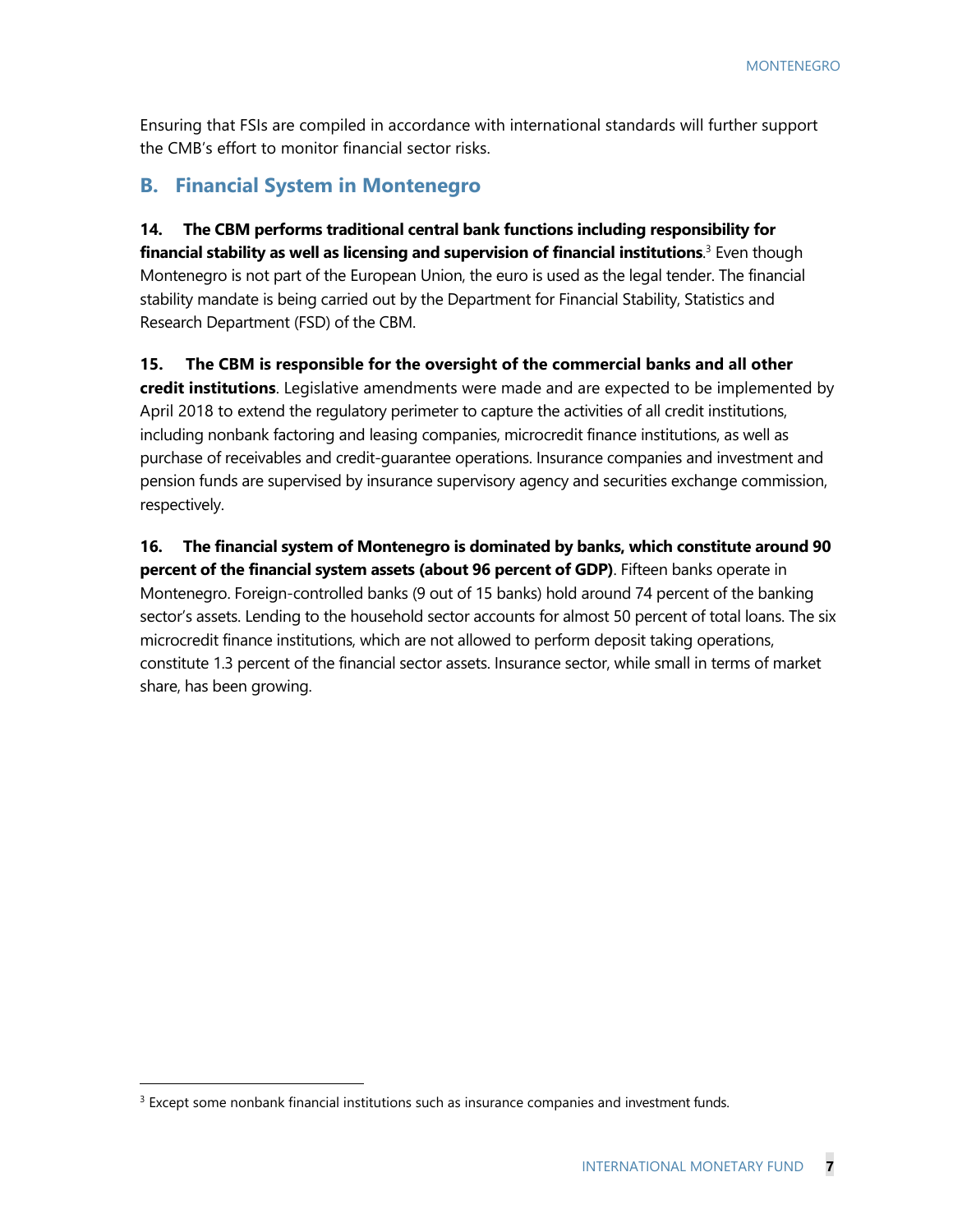Ensuring that FSIs are compiled in accordance with international standards will further support the CMB's effort to monitor financial sector risks.

## **B. Financial System in Montenegro**

**14. The CBM performs traditional central bank functions including responsibility for financial stability as well as licensing and supervision of financial institutions**. 3 Even though Montenegro is not part of the European Union, the euro is used as the legal tender. The financial stability mandate is being carried out by the Department for Financial Stability, Statistics and Research Department (FSD) of the CBM.

**15. The CBM is responsible for the oversight of the commercial banks and all other credit institutions**. Legislative amendments were made and are expected to be implemented by April 2018 to extend the regulatory perimeter to capture the activities of all credit institutions, including nonbank factoring and leasing companies, microcredit finance institutions, as well as purchase of receivables and credit-guarantee operations. Insurance companies and investment and pension funds are supervised by insurance supervisory agency and securities exchange commission, respectively.

**16. The financial system of Montenegro is dominated by banks, which constitute around 90 percent of the financial system assets (about 96 percent of GDP)**. Fifteen banks operate in Montenegro. Foreign-controlled banks (9 out of 15 banks) hold around 74 percent of the banking sector's assets. Lending to the household sector accounts for almost 50 percent of total loans. The six microcredit finance institutions, which are not allowed to perform deposit taking operations, constitute 1.3 percent of the financial sector assets. Insurance sector, while small in terms of market share, has been growing.

 $\overline{a}$ 

 $3$  Except some nonbank financial institutions such as insurance companies and investment funds.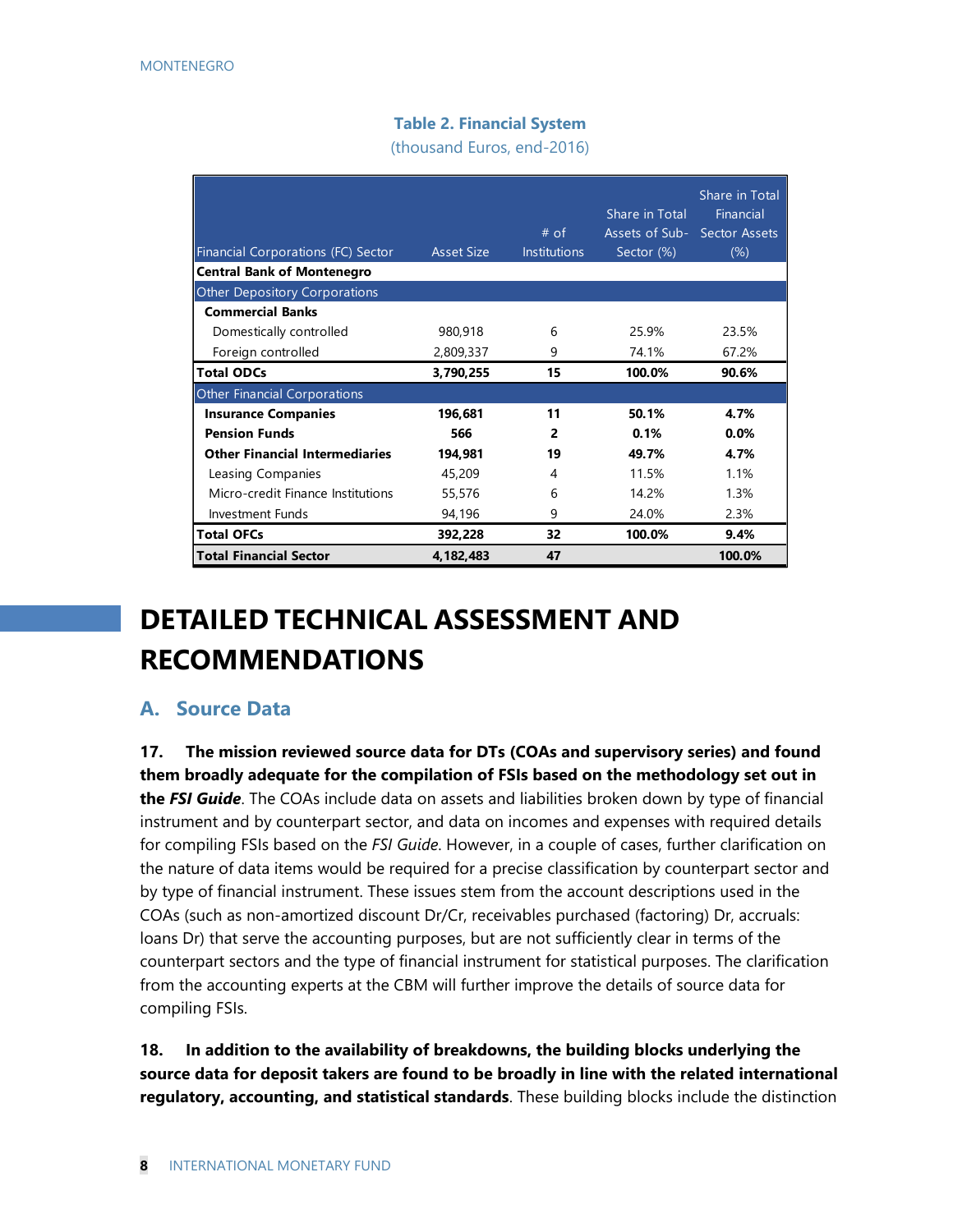### **Table 2. Financial System**

(thousand Euros, end-2016)

|                                       |                   |                     | Share in Total               | Share in Total<br>Financial |
|---------------------------------------|-------------------|---------------------|------------------------------|-----------------------------|
|                                       |                   | $#$ of              | Assets of Sub- Sector Assets |                             |
| Financial Corporations (FC) Sector    | <b>Asset Size</b> | <b>Institutions</b> | Sector (%)                   | $(\%)$                      |
| <b>Central Bank of Montenegro</b>     |                   |                     |                              |                             |
| <b>Other Depository Corporations</b>  |                   |                     |                              |                             |
| <b>Commercial Banks</b>               |                   |                     |                              |                             |
| Domestically controlled               | 980,918           | 6                   | 25.9%                        | 23.5%                       |
| Foreign controlled                    | 2,809,337         | 9                   | 74.1%                        | 67.2%                       |
| <b>Total ODCs</b>                     | 3,790,255         | 15                  | 100.0%                       | 90.6%                       |
| <b>Other Financial Corporations</b>   |                   |                     |                              |                             |
| <b>Insurance Companies</b>            | 196,681           | 11                  | 50.1%                        | 4.7%                        |
| <b>Pension Funds</b>                  | 566               | $\overline{2}$      | 0.1%                         | 0.0%                        |
| <b>Other Financial Intermediaries</b> | 194,981           | 19                  | 49.7%                        | 4.7%                        |
| Leasing Companies                     | 45,209            | 4                   | 11.5%                        | 1.1%                        |
| Micro-credit Finance Institutions     | 55,576            | 6                   | 14.2%                        | 1.3%                        |
| Investment Funds                      | 94,196            | 9                   | 24.0%                        | 2.3%                        |
| <b>Total OFCs</b>                     | 392,228           | 32                  | 100.0%                       | 9.4%                        |
| <b>Total Financial Sector</b>         | 4,182,483         | 47                  |                              | 100.0%                      |

## **DETAILED TECHNICAL ASSESSMENT AND RECOMMENDATIONS**

## **A. Source Data**

**17. The mission reviewed source data for DTs (COAs and supervisory series) and found them broadly adequate for the compilation of FSIs based on the methodology set out in the** *FSI Guide*. The COAs include data on assets and liabilities broken down by type of financial instrument and by counterpart sector, and data on incomes and expenses with required details for compiling FSIs based on the *FSI Guide*. However, in a couple of cases, further clarification on the nature of data items would be required for a precise classification by counterpart sector and by type of financial instrument. These issues stem from the account descriptions used in the COAs (such as non-amortized discount Dr/Cr, receivables purchased (factoring) Dr, accruals: loans Dr) that serve the accounting purposes, but are not sufficiently clear in terms of the counterpart sectors and the type of financial instrument for statistical purposes. The clarification from the accounting experts at the CBM will further improve the details of source data for compiling FSIs.

**18. In addition to the availability of breakdowns, the building blocks underlying the source data for deposit takers are found to be broadly in line with the related international regulatory, accounting, and statistical standards**. These building blocks include the distinction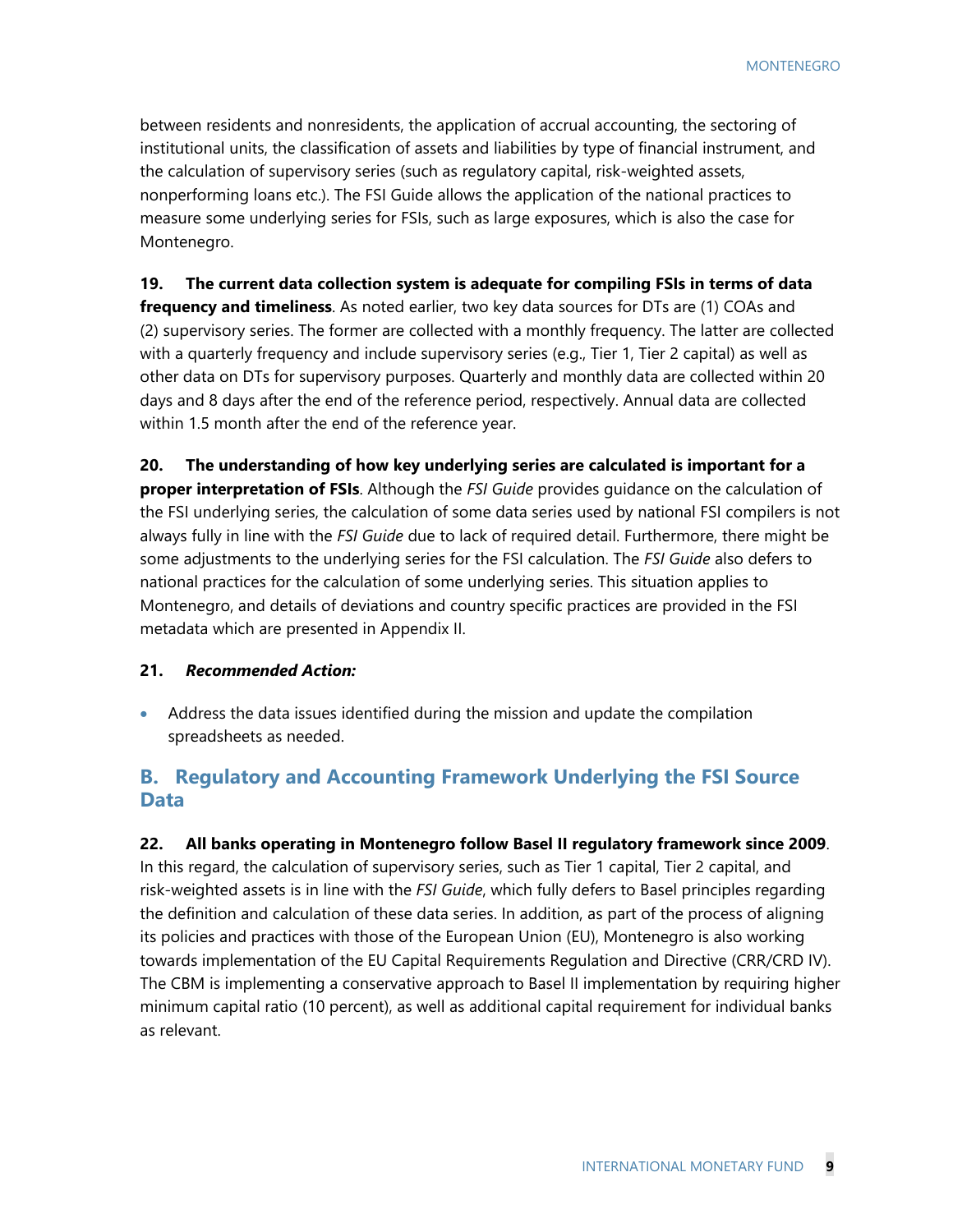MONTENEGRO

between residents and nonresidents, the application of accrual accounting, the sectoring of institutional units, the classification of assets and liabilities by type of financial instrument, and the calculation of supervisory series (such as regulatory capital, risk-weighted assets, nonperforming loans etc.). The FSI Guide allows the application of the national practices to measure some underlying series for FSIs, such as large exposures, which is also the case for Montenegro.

**19. The current data collection system is adequate for compiling FSIs in terms of data frequency and timeliness**. As noted earlier, two key data sources for DTs are (1) COAs and (2) supervisory series. The former are collected with a monthly frequency. The latter are collected with a quarterly frequency and include supervisory series (e.g., Tier 1, Tier 2 capital) as well as other data on DTs for supervisory purposes. Quarterly and monthly data are collected within 20 days and 8 days after the end of the reference period, respectively. Annual data are collected within 1.5 month after the end of the reference year.

**20. The understanding of how key underlying series are calculated is important for a proper interpretation of FSIs**. Although the *FSI Guide* provides guidance on the calculation of the FSI underlying series, the calculation of some data series used by national FSI compilers is not always fully in line with the *FSI Guide* due to lack of required detail. Furthermore, there might be some adjustments to the underlying series for the FSI calculation. The *FSI Guide* also defers to national practices for the calculation of some underlying series. This situation applies to Montenegro, and details of deviations and country specific practices are provided in the FSI metadata which are presented in Appendix II.

#### **21.** *Recommended Action:*

 Address the data issues identified during the mission and update the compilation spreadsheets as needed.

## **B. Regulatory and Accounting Framework Underlying the FSI Source Data**

**22. All banks operating in Montenegro follow Basel II regulatory framework since 2009**. In this regard, the calculation of supervisory series, such as Tier 1 capital, Tier 2 capital, and risk-weighted assets is in line with the *FSI Guide*, which fully defers to Basel principles regarding the definition and calculation of these data series. In addition, as part of the process of aligning its policies and practices with those of the European Union (EU), Montenegro is also working towards implementation of the EU Capital Requirements Regulation and Directive (CRR/CRD IV). The CBM is implementing a conservative approach to Basel II implementation by requiring higher minimum capital ratio (10 percent), as well as additional capital requirement for individual banks as relevant.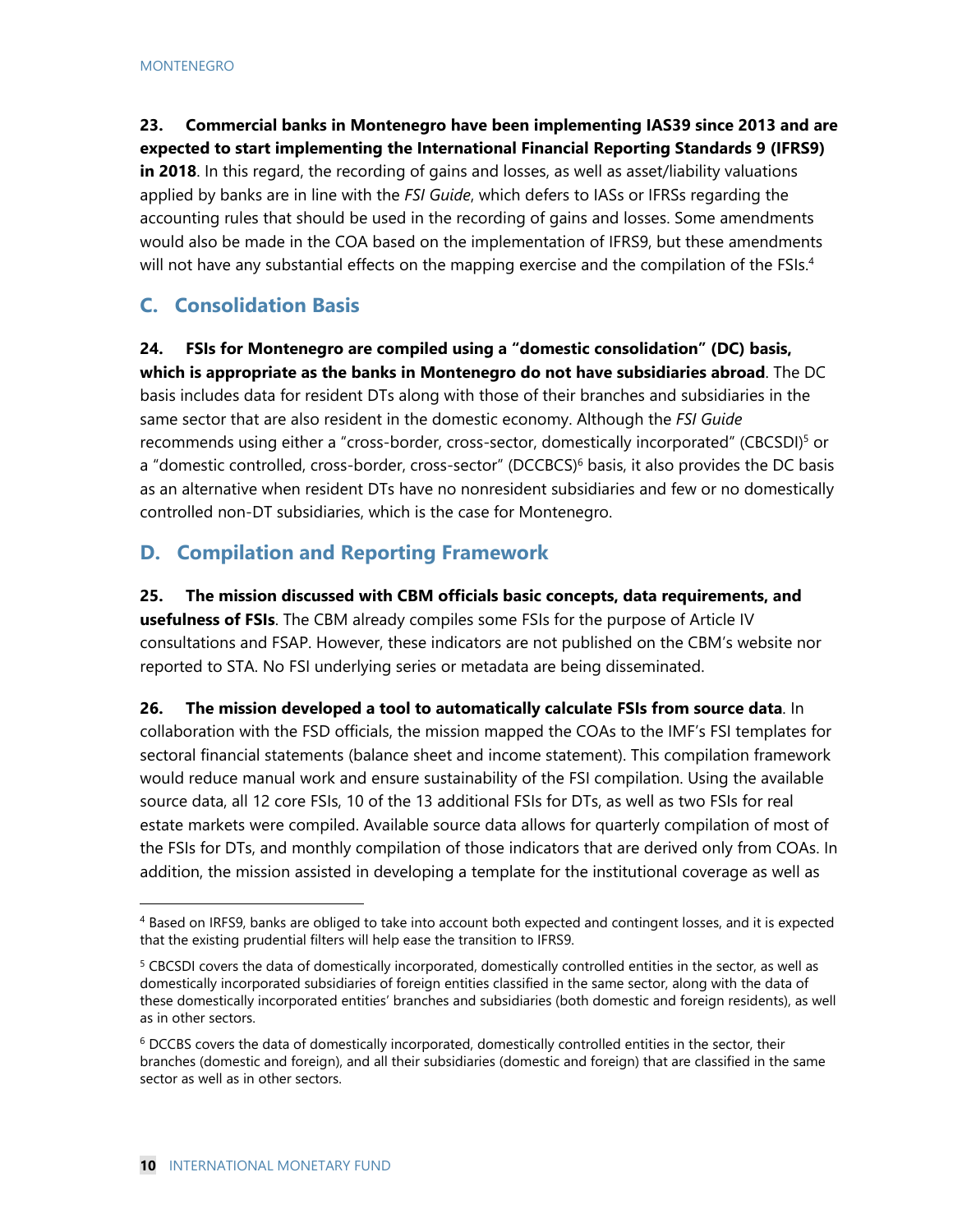**23. Commercial banks in Montenegro have been implementing IAS39 since 2013 and are expected to start implementing the International Financial Reporting Standards 9 (IFRS9) in 2018**. In this regard, the recording of gains and losses, as well as asset/liability valuations applied by banks are in line with the *FSI Guide*, which defers to IASs or IFRSs regarding the accounting rules that should be used in the recording of gains and losses. Some amendments would also be made in the COA based on the implementation of IFRS9, but these amendments will not have any substantial effects on the mapping exercise and the compilation of the FSIs.<sup>4</sup>

## **C. Consolidation Basis**

**24. FSIs for Montenegro are compiled using a "domestic consolidation" (DC) basis, which is appropriate as the banks in Montenegro do not have subsidiaries abroad**. The DC basis includes data for resident DTs along with those of their branches and subsidiaries in the same sector that are also resident in the domestic economy. Although the *FSI Guide* recommends using either a "cross-border, cross-sector, domestically incorporated" (CBCSDI)<sup>5</sup> or a "domestic controlled, cross-border, cross-sector" (DCCBCS)<sup>6</sup> basis, it also provides the DC basis as an alternative when resident DTs have no nonresident subsidiaries and few or no domestically controlled non-DT subsidiaries, which is the case for Montenegro.

## **D. Compilation and Reporting Framework**

**25. The mission discussed with CBM officials basic concepts, data requirements, and usefulness of FSIs**. The CBM already compiles some FSIs for the purpose of Article IV consultations and FSAP. However, these indicators are not published on the CBM's website nor reported to STA. No FSI underlying series or metadata are being disseminated.

**26. The mission developed a tool to automatically calculate FSIs from source data**. In

collaboration with the FSD officials, the mission mapped the COAs to the IMF's FSI templates for sectoral financial statements (balance sheet and income statement). This compilation framework would reduce manual work and ensure sustainability of the FSI compilation. Using the available source data, all 12 core FSIs, 10 of the 13 additional FSIs for DTs, as well as two FSIs for real estate markets were compiled. Available source data allows for quarterly compilation of most of the FSIs for DTs, and monthly compilation of those indicators that are derived only from COAs. In addition, the mission assisted in developing a template for the institutional coverage as well as

<sup>4</sup> Based on IRFS9, banks are obliged to take into account both expected and contingent losses, and it is expected that the existing prudential filters will help ease the transition to IFRS9.

<sup>&</sup>lt;sup>5</sup> CBCSDI covers the data of domestically incorporated, domestically controlled entities in the sector, as well as domestically incorporated subsidiaries of foreign entities classified in the same sector, along with the data of these domestically incorporated entities' branches and subsidiaries (both domestic and foreign residents), as well as in other sectors.

<sup>6</sup> DCCBS covers the data of domestically incorporated, domestically controlled entities in the sector, their branches (domestic and foreign), and all their subsidiaries (domestic and foreign) that are classified in the same sector as well as in other sectors.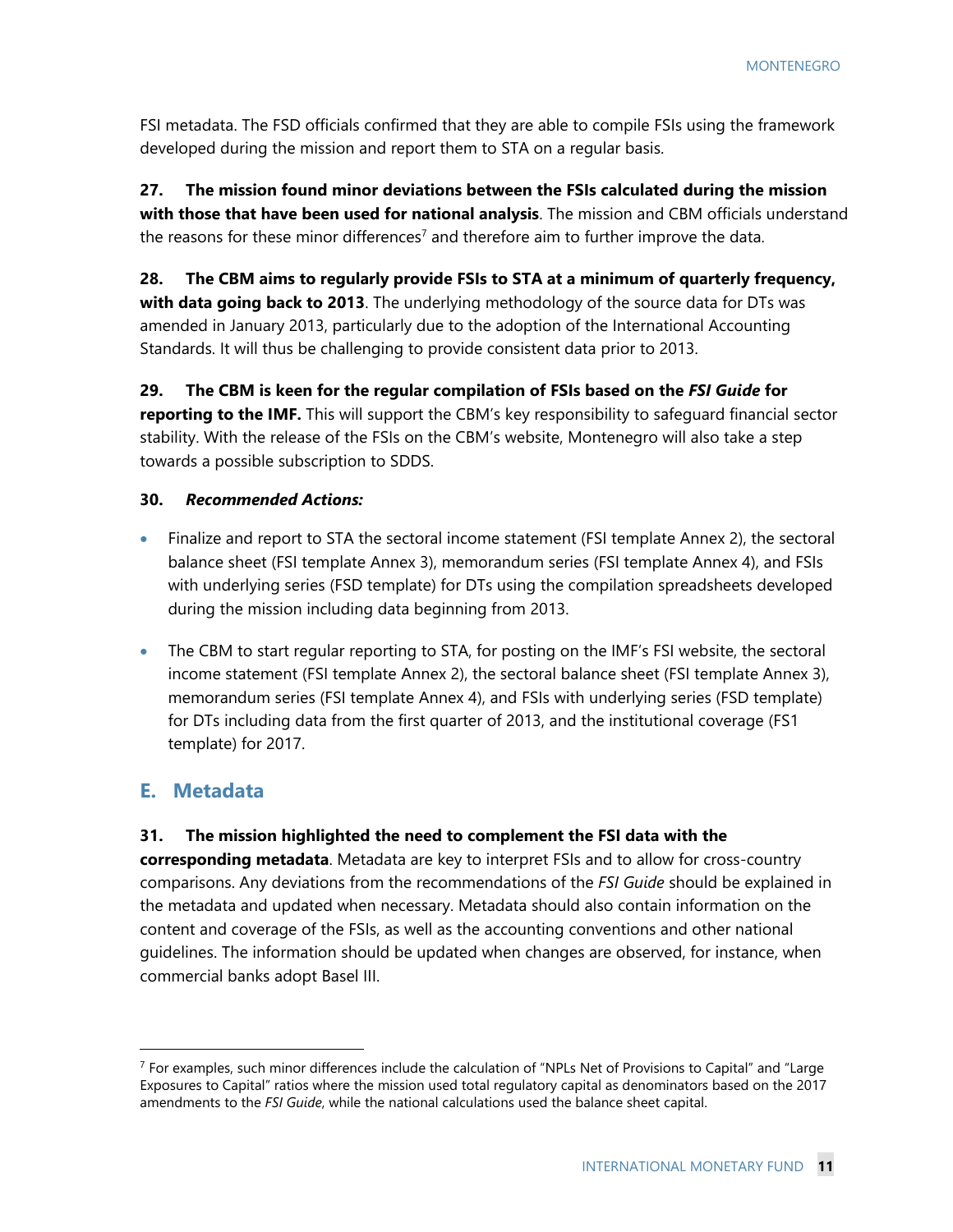FSI metadata. The FSD officials confirmed that they are able to compile FSIs using the framework developed during the mission and report them to STA on a regular basis.

**27. The mission found minor deviations between the FSIs calculated during the mission with those that have been used for national analysis**. The mission and CBM officials understand the reasons for these minor differences<sup>7</sup> and therefore aim to further improve the data.

**28. The CBM aims to regularly provide FSIs to STA at a minimum of quarterly frequency, with data going back to 2013**. The underlying methodology of the source data for DTs was amended in January 2013, particularly due to the adoption of the International Accounting Standards. It will thus be challenging to provide consistent data prior to 2013.

**29. The CBM is keen for the regular compilation of FSIs based on the** *FSI Guide* **for reporting to the IMF.** This will support the CBM's key responsibility to safeguard financial sector stability. With the release of the FSIs on the CBM's website, Montenegro will also take a step towards a possible subscription to SDDS.

#### **30.** *Recommended Actions:*

- Finalize and report to STA the sectoral income statement (FSI template Annex 2), the sectoral balance sheet (FSI template Annex 3), memorandum series (FSI template Annex 4), and FSIs with underlying series (FSD template) for DTs using the compilation spreadsheets developed during the mission including data beginning from 2013.
- The CBM to start regular reporting to STA, for posting on the IMF's FSI website, the sectoral income statement (FSI template Annex 2), the sectoral balance sheet (FSI template Annex 3), memorandum series (FSI template Annex 4), and FSIs with underlying series (FSD template) for DTs including data from the first quarter of 2013, and the institutional coverage (FS1 template) for 2017.

## **E. Metadata**

-

#### **31. The mission highlighted the need to complement the FSI data with the**

**corresponding metadata**. Metadata are key to interpret FSIs and to allow for cross-country comparisons. Any deviations from the recommendations of the *FSI Guide* should be explained in the metadata and updated when necessary. Metadata should also contain information on the content and coverage of the FSIs, as well as the accounting conventions and other national guidelines. The information should be updated when changes are observed, for instance, when commercial banks adopt Basel III.

 $<sup>7</sup>$  For examples, such minor differences include the calculation of "NPLs Net of Provisions to Capital" and "Large</sup> Exposures to Capital" ratios where the mission used total regulatory capital as denominators based on the 2017 amendments to the *FSI Guide*, while the national calculations used the balance sheet capital.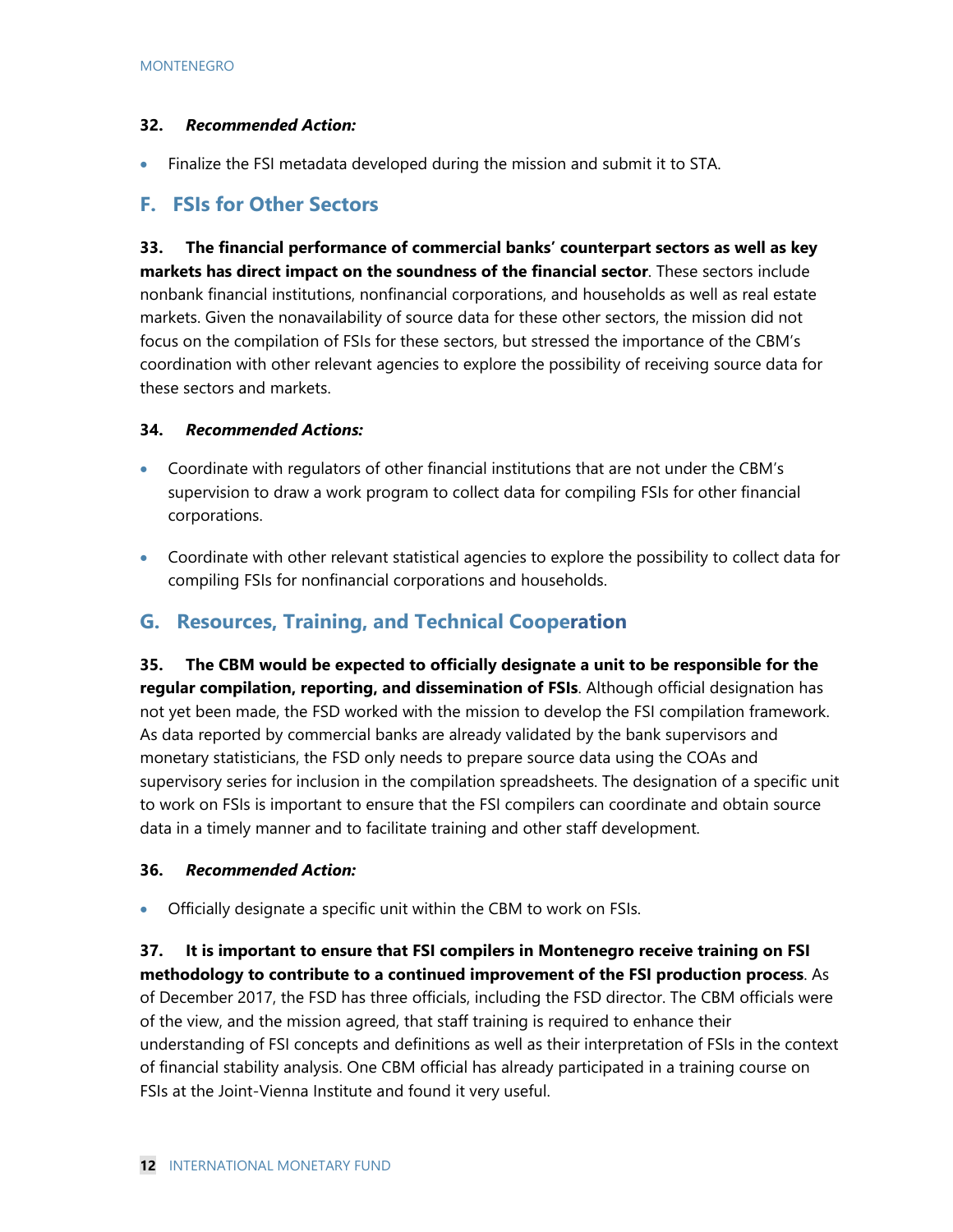#### **32.** *Recommended Action:*

Finalize the FSI metadata developed during the mission and submit it to STA.

## **F. FSIs for Other Sectors**

**33. The financial performance of commercial banks' counterpart sectors as well as key markets has direct impact on the soundness of the financial sector**. These sectors include nonbank financial institutions, nonfinancial corporations, and households as well as real estate markets. Given the nonavailability of source data for these other sectors, the mission did not focus on the compilation of FSIs for these sectors, but stressed the importance of the CBM's coordination with other relevant agencies to explore the possibility of receiving source data for these sectors and markets.

#### **34.** *Recommended Actions:*

- Coordinate with regulators of other financial institutions that are not under the CBM's supervision to draw a work program to collect data for compiling FSIs for other financial corporations.
- Coordinate with other relevant statistical agencies to explore the possibility to collect data for compiling FSIs for nonfinancial corporations and households.

## **G. Resources, Training, and Technical Cooperation**

**35. The CBM would be expected to officially designate a unit to be responsible for the regular compilation, reporting, and dissemination of FSIs**. Although official designation has not yet been made, the FSD worked with the mission to develop the FSI compilation framework. As data reported by commercial banks are already validated by the bank supervisors and monetary statisticians, the FSD only needs to prepare source data using the COAs and supervisory series for inclusion in the compilation spreadsheets. The designation of a specific unit to work on FSIs is important to ensure that the FSI compilers can coordinate and obtain source data in a timely manner and to facilitate training and other staff development.

#### **36.** *Recommended Action:*

Officially designate a specific unit within the CBM to work on FSIs.

**37. It is important to ensure that FSI compilers in Montenegro receive training on FSI methodology to contribute to a continued improvement of the FSI production process**. As of December 2017, the FSD has three officials, including the FSD director. The CBM officials were of the view, and the mission agreed, that staff training is required to enhance their understanding of FSI concepts and definitions as well as their interpretation of FSIs in the context of financial stability analysis. One CBM official has already participated in a training course on FSIs at the Joint-Vienna Institute and found it very useful.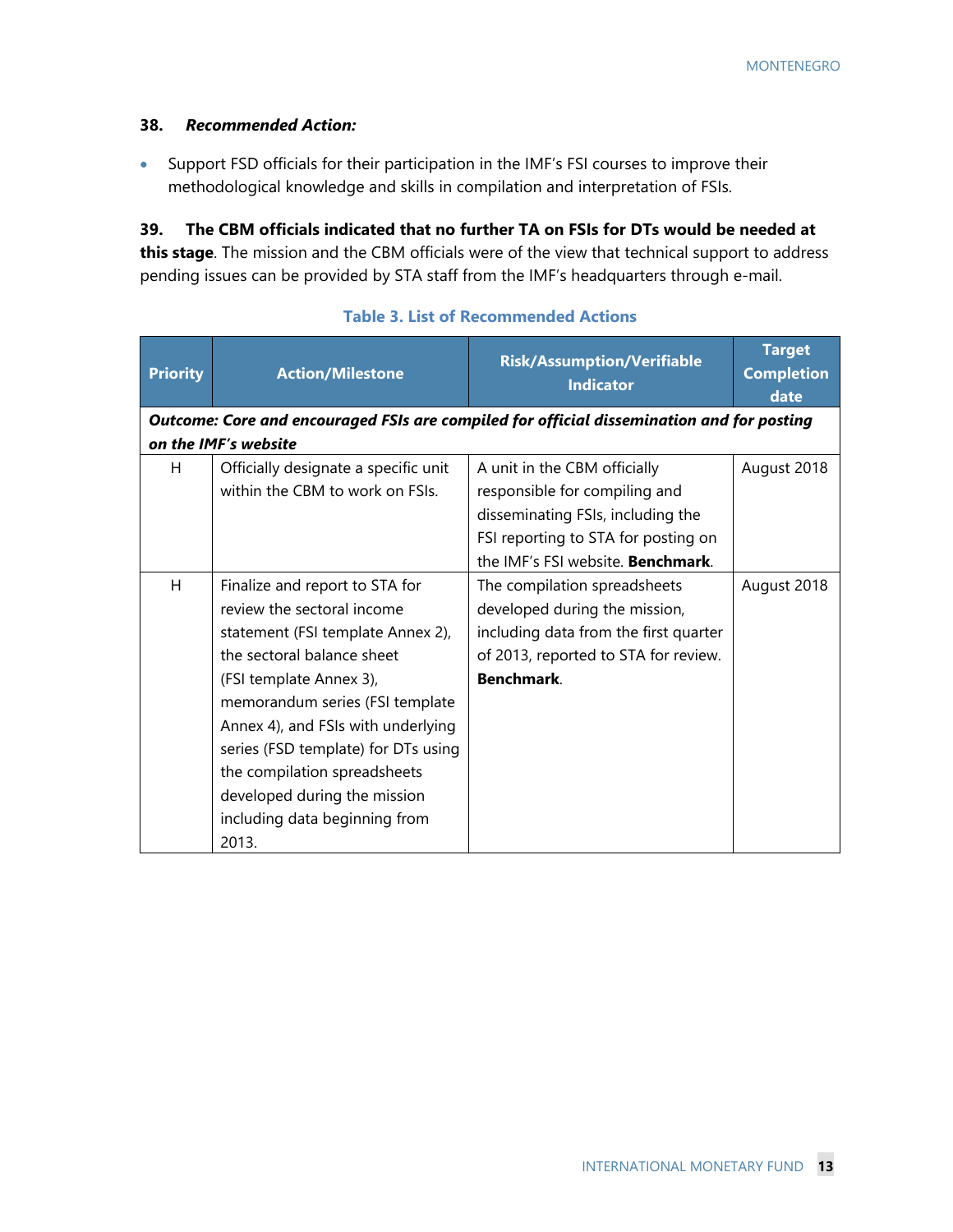#### **38.** *Recommended Action:*

 Support FSD officials for their participation in the IMF's FSI courses to improve their methodological knowledge and skills in compilation and interpretation of FSIs.

## **39. The CBM officials indicated that no further TA on FSIs for DTs would be needed at**

**this stage**. The mission and the CBM officials were of the view that technical support to address pending issues can be provided by STA staff from the IMF's headquarters through e-mail.

| <b>Priority</b> | <b>Action/Milestone</b>              | <b>Risk/Assumption/Verifiable</b><br><b>Indicator</b>                                     | <b>Target</b><br><b>Completion</b><br>date |
|-----------------|--------------------------------------|-------------------------------------------------------------------------------------------|--------------------------------------------|
|                 |                                      | Outcome: Core and encouraged FSIs are compiled for official dissemination and for posting |                                            |
|                 | on the IMF's website                 |                                                                                           |                                            |
| H.              | Officially designate a specific unit | A unit in the CBM officially                                                              | August 2018                                |
|                 | within the CBM to work on FSIs.      | responsible for compiling and                                                             |                                            |
|                 |                                      | disseminating FSIs, including the                                                         |                                            |
|                 |                                      | FSI reporting to STA for posting on                                                       |                                            |
|                 |                                      | the IMF's FSI website. <b>Benchmark</b> .                                                 |                                            |
| H               | Finalize and report to STA for       | The compilation spreadsheets                                                              | August 2018                                |
|                 | review the sectoral income           | developed during the mission,                                                             |                                            |
|                 | statement (FSI template Annex 2),    | including data from the first quarter                                                     |                                            |
|                 | the sectoral balance sheet           | of 2013, reported to STA for review.                                                      |                                            |
|                 | (FSI template Annex 3),              | <b>Benchmark.</b>                                                                         |                                            |
|                 | memorandum series (FSI template      |                                                                                           |                                            |
|                 | Annex 4), and FSIs with underlying   |                                                                                           |                                            |
|                 | series (FSD template) for DTs using  |                                                                                           |                                            |
|                 | the compilation spreadsheets         |                                                                                           |                                            |
|                 | developed during the mission         |                                                                                           |                                            |
|                 | including data beginning from        |                                                                                           |                                            |
|                 | 2013.                                |                                                                                           |                                            |

**Table 3. List of Recommended Actions**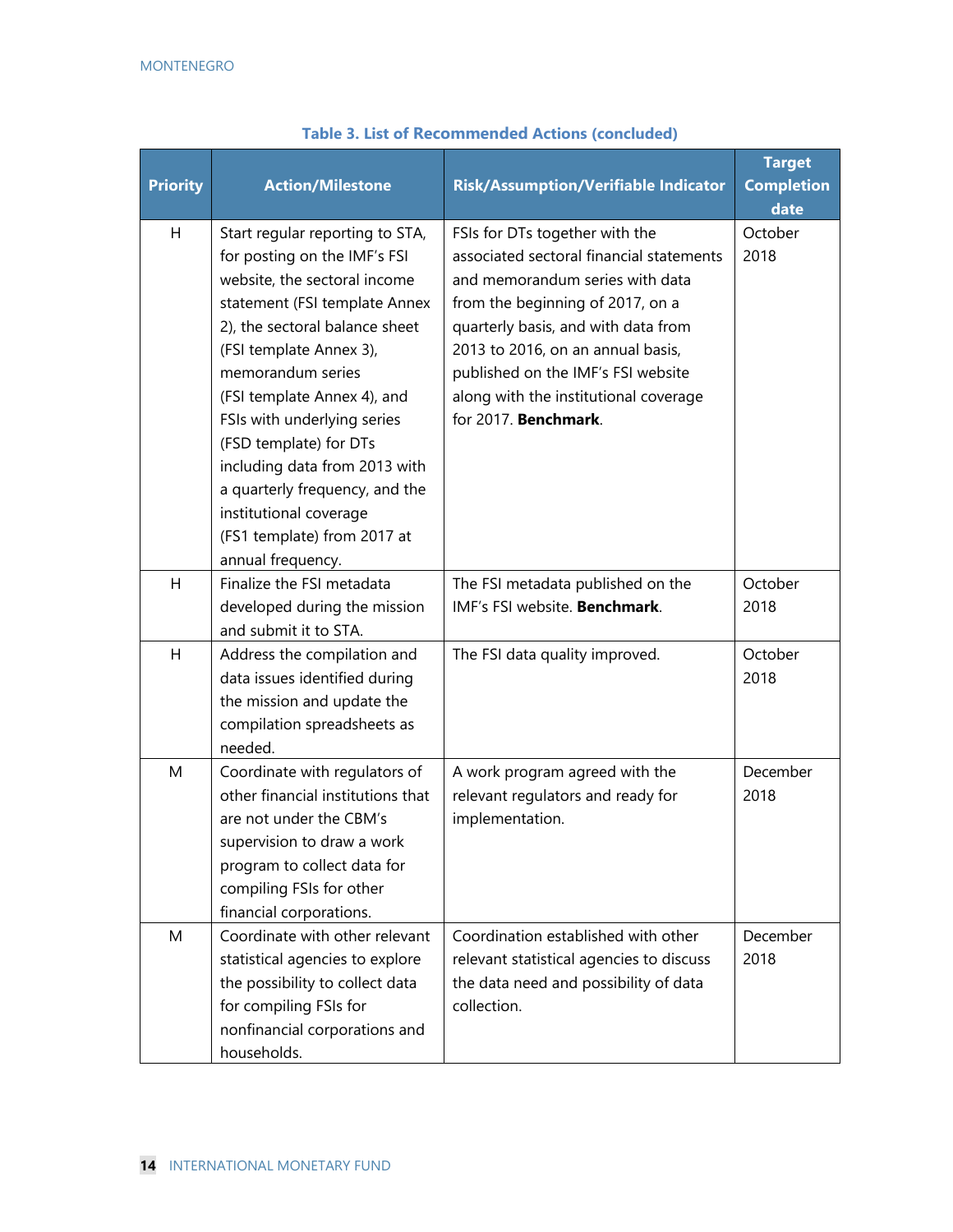| <b>Priority</b> | <b>Action/Milestone</b>                                                                                                                                                                                                                                                                                                                                                                                                                                     | <b>Risk/Assumption/Verifiable Indicator</b>                                                                                                                                                                                                                                                                                          | <b>Target</b><br><b>Completion</b><br>date |
|-----------------|-------------------------------------------------------------------------------------------------------------------------------------------------------------------------------------------------------------------------------------------------------------------------------------------------------------------------------------------------------------------------------------------------------------------------------------------------------------|--------------------------------------------------------------------------------------------------------------------------------------------------------------------------------------------------------------------------------------------------------------------------------------------------------------------------------------|--------------------------------------------|
| H               | Start regular reporting to STA,<br>for posting on the IMF's FSI<br>website, the sectoral income<br>statement (FSI template Annex<br>2), the sectoral balance sheet<br>(FSI template Annex 3),<br>memorandum series<br>(FSI template Annex 4), and<br>FSIs with underlying series<br>(FSD template) for DTs<br>including data from 2013 with<br>a quarterly frequency, and the<br>institutional coverage<br>(FS1 template) from 2017 at<br>annual frequency. | FSIs for DTs together with the<br>associated sectoral financial statements<br>and memorandum series with data<br>from the beginning of 2017, on a<br>quarterly basis, and with data from<br>2013 to 2016, on an annual basis,<br>published on the IMF's FSI website<br>along with the institutional coverage<br>for 2017. Benchmark. | October<br>2018                            |
| Н               | Finalize the FSI metadata<br>developed during the mission<br>and submit it to STA.                                                                                                                                                                                                                                                                                                                                                                          | The FSI metadata published on the<br>IMF's FSI website. Benchmark.                                                                                                                                                                                                                                                                   | October<br>2018                            |
| Η               | Address the compilation and<br>data issues identified during<br>the mission and update the<br>compilation spreadsheets as<br>needed.                                                                                                                                                                                                                                                                                                                        | The FSI data quality improved.                                                                                                                                                                                                                                                                                                       | October<br>2018                            |
| M               | Coordinate with regulators of<br>other financial institutions that<br>are not under the CBM's<br>supervision to draw a work<br>program to collect data for<br>compiling FSIs for other<br>financial corporations.                                                                                                                                                                                                                                           | A work program agreed with the<br>relevant regulators and ready for<br>implementation.                                                                                                                                                                                                                                               | December<br>2018                           |
| M               | Coordinate with other relevant<br>statistical agencies to explore<br>the possibility to collect data<br>for compiling FSIs for<br>nonfinancial corporations and<br>households.                                                                                                                                                                                                                                                                              | Coordination established with other<br>relevant statistical agencies to discuss<br>the data need and possibility of data<br>collection.                                                                                                                                                                                              | December<br>2018                           |

#### **Table 3. List of Recommended Actions (concluded)**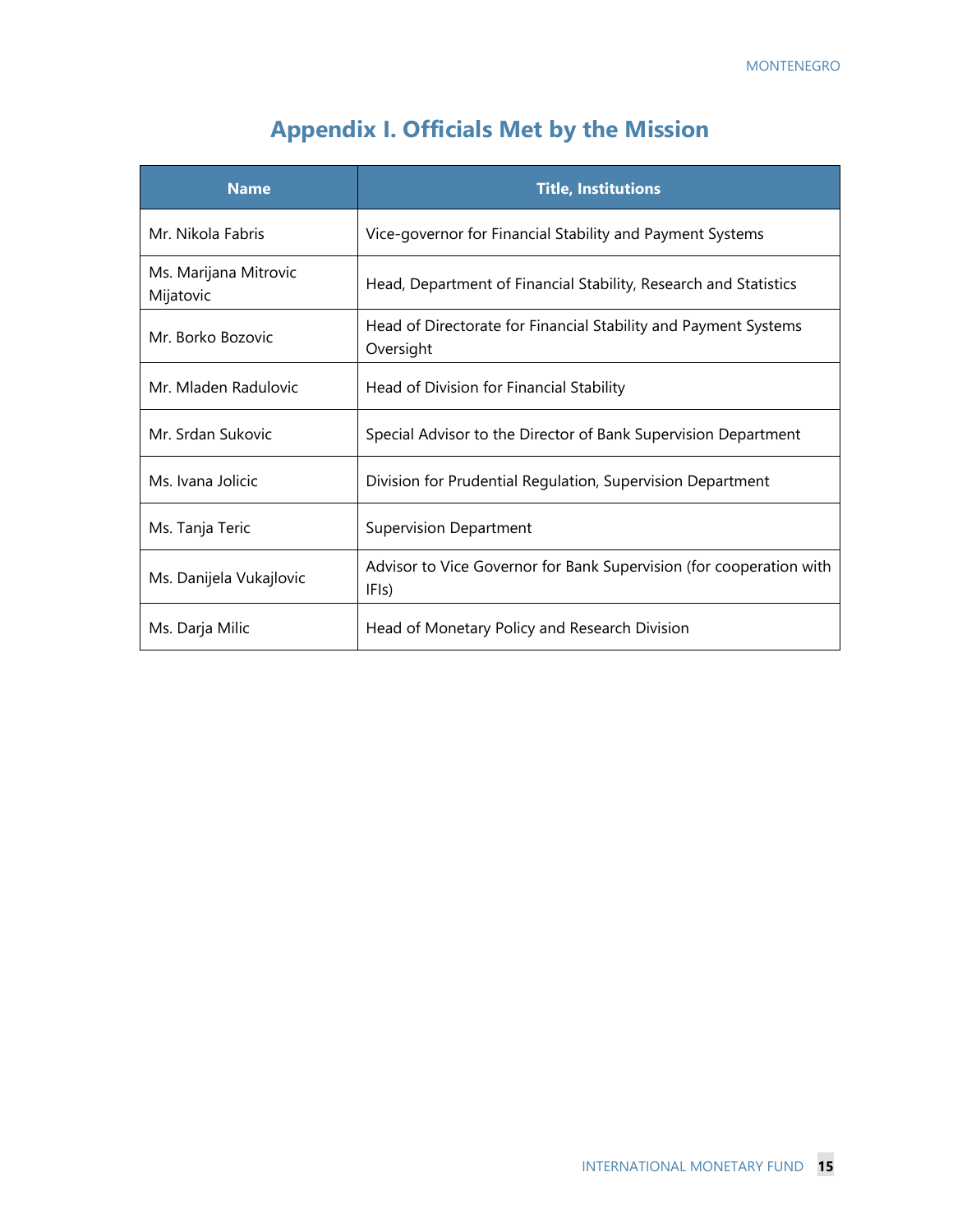## **Appendix I. Officials Met by the Mission**

| <b>Name</b>                        | <b>Title, Institutions</b>                                                   |
|------------------------------------|------------------------------------------------------------------------------|
| Mr. Nikola Fabris                  | Vice-governor for Financial Stability and Payment Systems                    |
| Ms. Marijana Mitrovic<br>Mijatovic | Head, Department of Financial Stability, Research and Statistics             |
| Mr. Borko Bozovic                  | Head of Directorate for Financial Stability and Payment Systems<br>Oversight |
| Mr. Mladen Radulovic               | Head of Division for Financial Stability                                     |
| Mr. Srdan Sukovic                  | Special Advisor to the Director of Bank Supervision Department               |
| Ms. Ivana Jolicic                  | Division for Prudential Regulation, Supervision Department                   |
| Ms. Tanja Teric                    | <b>Supervision Department</b>                                                |
| Ms. Danijela Vukajlovic            | Advisor to Vice Governor for Bank Supervision (for cooperation with<br>IFIs) |
| Ms. Darja Milic                    | Head of Monetary Policy and Research Division                                |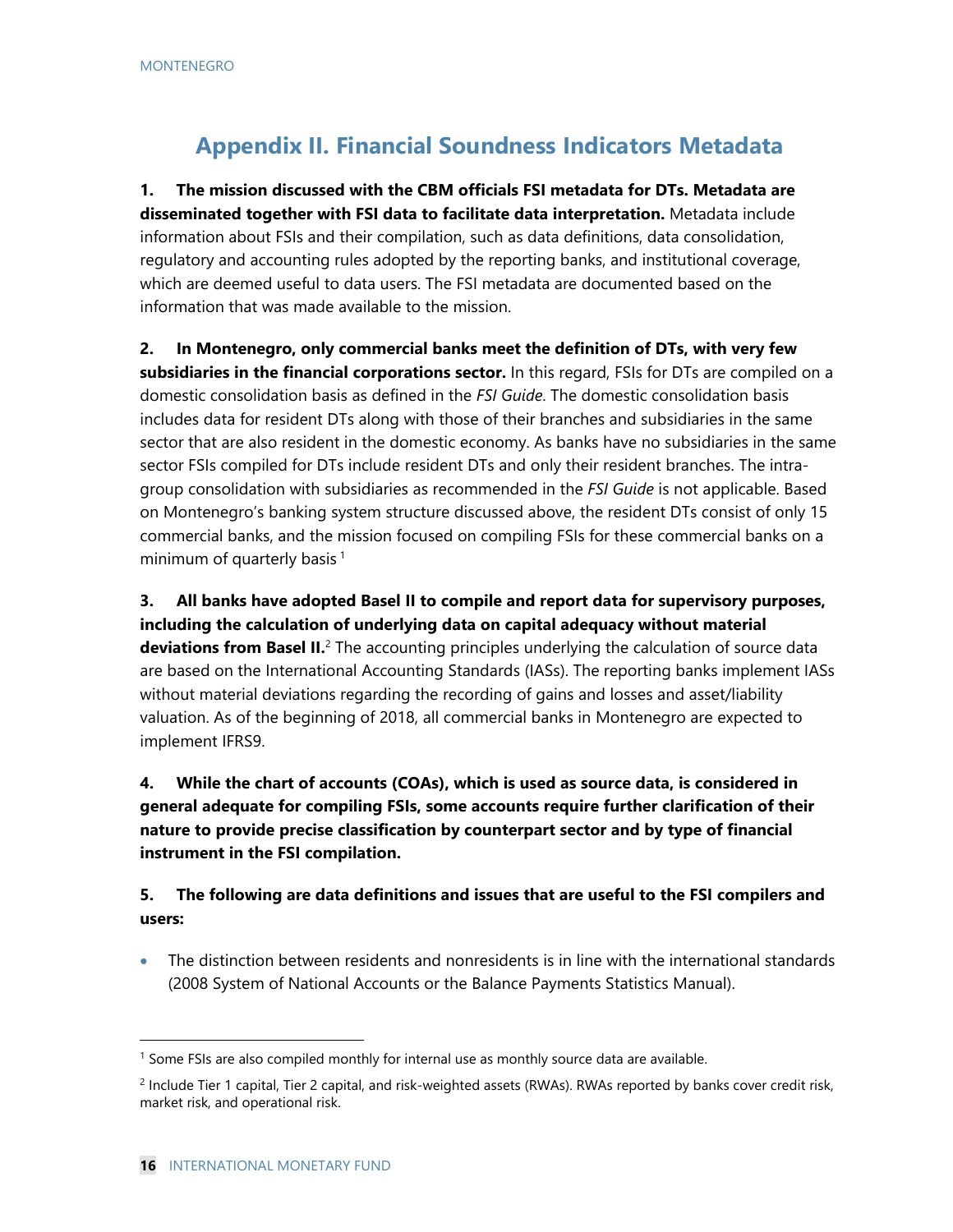## **Appendix II. Financial Soundness Indicators Metadata**

**1. The mission discussed with the CBM officials FSI metadata for DTs. Metadata are disseminated together with FSI data to facilitate data interpretation.** Metadata include information about FSIs and their compilation, such as data definitions, data consolidation, regulatory and accounting rules adopted by the reporting banks, and institutional coverage, which are deemed useful to data users. The FSI metadata are documented based on the information that was made available to the mission.

**2. In Montenegro, only commercial banks meet the definition of DTs, with very few subsidiaries in the financial corporations sector.** In this regard, FSIs for DTs are compiled on a domestic consolidation basis as defined in the *FSI Guide*. The domestic consolidation basis includes data for resident DTs along with those of their branches and subsidiaries in the same sector that are also resident in the domestic economy. As banks have no subsidiaries in the same sector FSIs compiled for DTs include resident DTs and only their resident branches. The intragroup consolidation with subsidiaries as recommended in the *FSI Guide* is not applicable. Based on Montenegro's banking system structure discussed above, the resident DTs consist of only 15 commercial banks, and the mission focused on compiling FSIs for these commercial banks on a minimum of quarterly basis<sup>1</sup>

**3. All banks have adopted Basel II to compile and report data for supervisory purposes, including the calculation of underlying data on capital adequacy without material deviations from Basel II.**<sup>2</sup> The accounting principles underlying the calculation of source data are based on the International Accounting Standards (IASs). The reporting banks implement IASs without material deviations regarding the recording of gains and losses and asset/liability valuation. As of the beginning of 2018, all commercial banks in Montenegro are expected to implement IFRS9.

**4. While the chart of accounts (COAs), which is used as source data, is considered in general adequate for compiling FSIs, some accounts require further clarification of their nature to provide precise classification by counterpart sector and by type of financial instrument in the FSI compilation.** 

### **5. The following are data definitions and issues that are useful to the FSI compilers and users:**

 The distinction between residents and nonresidents is in line with the international standards (2008 System of National Accounts or the Balance Payments Statistics Manual).

<sup>&</sup>lt;sup>1</sup> Some FSIs are also compiled monthly for internal use as monthly source data are available.

<sup>&</sup>lt;sup>2</sup> Include Tier 1 capital, Tier 2 capital, and risk-weighted assets (RWAs). RWAs reported by banks cover credit risk, market risk, and operational risk.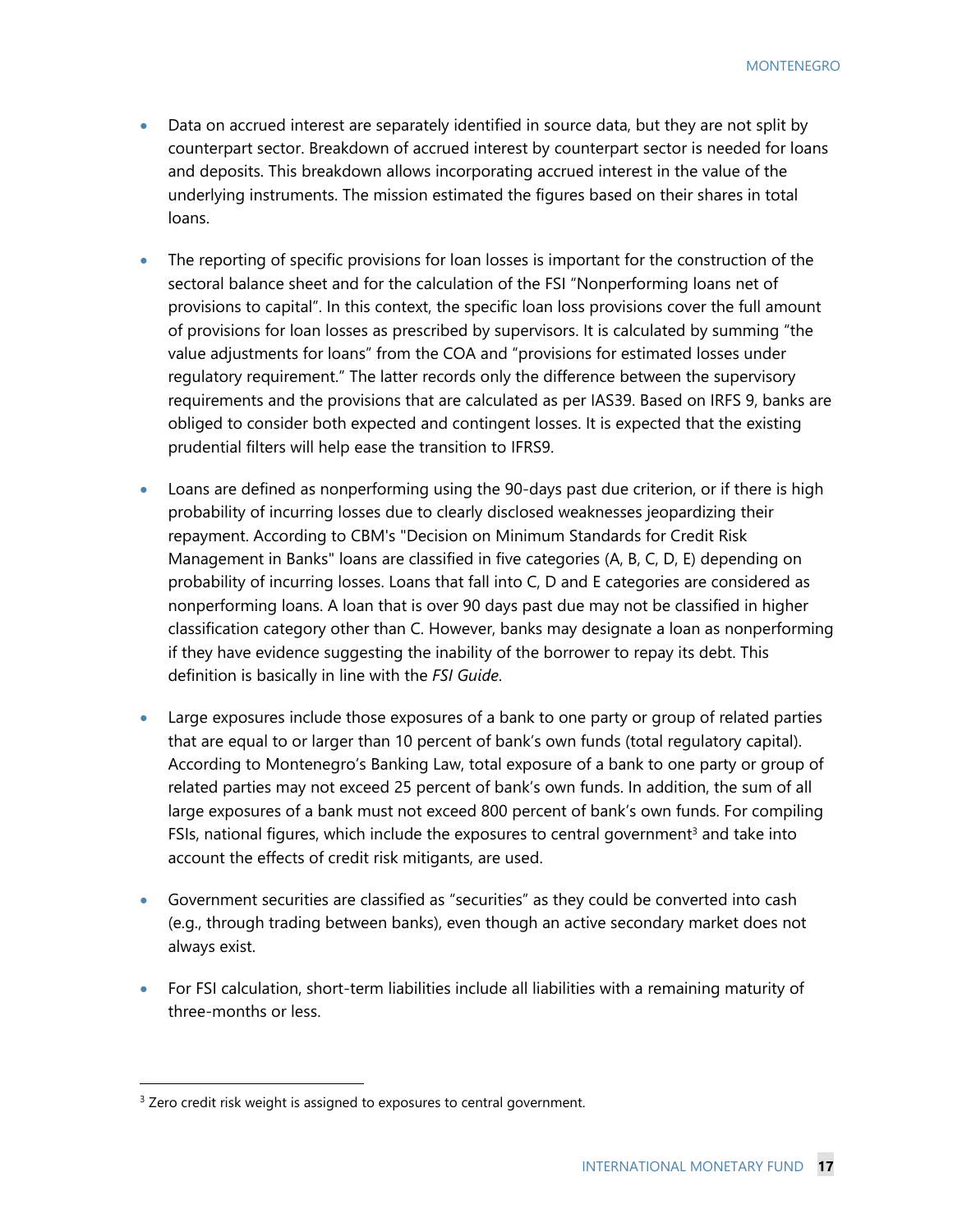- Data on accrued interest are separately identified in source data, but they are not split by counterpart sector. Breakdown of accrued interest by counterpart sector is needed for loans and deposits. This breakdown allows incorporating accrued interest in the value of the underlying instruments. The mission estimated the figures based on their shares in total loans.
- The reporting of specific provisions for loan losses is important for the construction of the sectoral balance sheet and for the calculation of the FSI "Nonperforming loans net of provisions to capital". In this context, the specific loan loss provisions cover the full amount of provisions for loan losses as prescribed by supervisors. It is calculated by summing "the value adjustments for loans" from the COA and "provisions for estimated losses under regulatory requirement." The latter records only the difference between the supervisory requirements and the provisions that are calculated as per IAS39. Based on IRFS 9, banks are obliged to consider both expected and contingent losses. It is expected that the existing prudential filters will help ease the transition to IFRS9.
- Loans are defined as nonperforming using the 90-days past due criterion, or if there is high probability of incurring losses due to clearly disclosed weaknesses jeopardizing their repayment. According to CBM's "Decision on Minimum Standards for Credit Risk Management in Banks" loans are classified in five categories (A, B, C, D, E) depending on probability of incurring losses. Loans that fall into C, D and E categories are considered as nonperforming loans. A loan that is over 90 days past due may not be classified in higher classification category other than C. However, banks may designate a loan as nonperforming if they have evidence suggesting the inability of the borrower to repay its debt. This definition is basically in line with the *FSI Guide*.
- Large exposures include those exposures of a bank to one party or group of related parties that are equal to or larger than 10 percent of bank's own funds (total regulatory capital). According to Montenegro's Banking Law, total exposure of a bank to one party or group of related parties may not exceed 25 percent of bank's own funds. In addition, the sum of all large exposures of a bank must not exceed 800 percent of bank's own funds. For compiling FSIs, national figures, which include the exposures to central government<sup>3</sup> and take into account the effects of credit risk mitigants, are used.
- Government securities are classified as "securities" as they could be converted into cash (e.g., through trading between banks), even though an active secondary market does not always exist.
- For FSI calculation, short-term liabilities include all liabilities with a remaining maturity of three-months or less.

 $3$  Zero credit risk weight is assigned to exposures to central government.